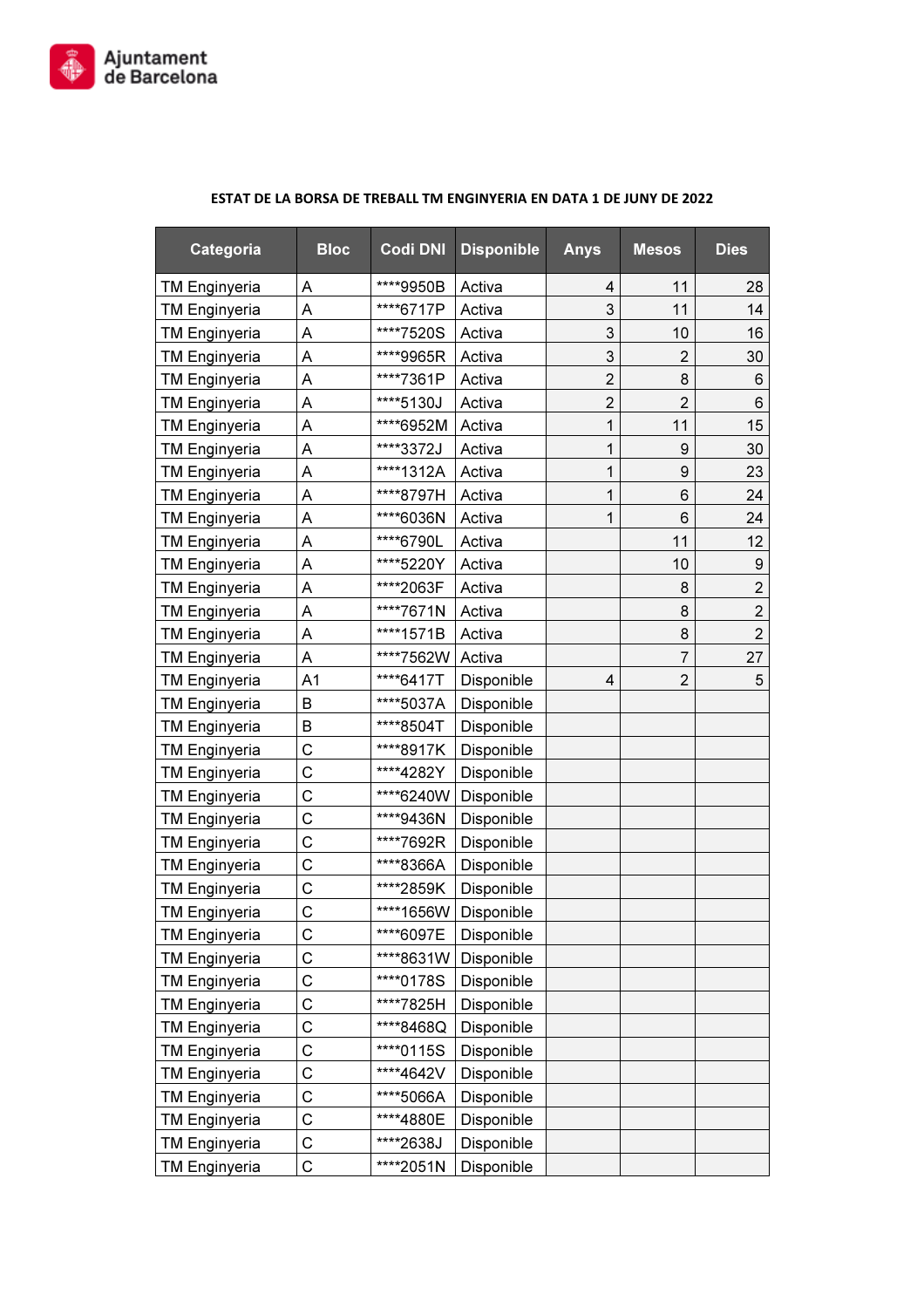

| Categoria            | <b>Bloc</b>    | <b>Codi DNI</b> | <b>Disponible</b> | <b>Anys</b>    | <b>Mesos</b>   | <b>Dies</b>      |
|----------------------|----------------|-----------------|-------------------|----------------|----------------|------------------|
| <b>TM Enginyeria</b> | Α              | ****9950B       | Activa            | 4              | 11             | 28               |
| <b>TM Enginyeria</b> | Α              | ****6717P       | Activa            | 3              | 11             | 14               |
| <b>TM Enginyeria</b> | Α              | ****7520S       | Activa            | 3              | 10             | 16               |
| <b>TM Enginyeria</b> | Α              | ****9965R       | Activa            | 3              | $\overline{2}$ | 30               |
| <b>TM Enginyeria</b> | A              | ****7361P       | Activa            | $\overline{2}$ | 8              | 6                |
| <b>TM Enginyeria</b> | Α              | ****5130J       | Activa            | $\overline{2}$ | $\overline{2}$ | 6                |
| <b>TM Enginyeria</b> | Α              | ****6952M       | Activa            | 1              | 11             | 15               |
| <b>TM Enginyeria</b> | Α              | ****3372J       | Activa            | 1              | 9              | 30               |
| <b>TM Enginyeria</b> | A              | ****1312A       | Activa            | 1              | 9              | 23               |
| <b>TM Enginyeria</b> | Α              | ****8797H       | Activa            | 1              | 6              | 24               |
| <b>TM Enginyeria</b> | Α              | ****6036N       | Activa            | 1              | 6              | 24               |
| <b>TM Enginyeria</b> | Α              | ****6790L       | Activa            |                | 11             | 12               |
| <b>TM Enginyeria</b> | Α              | ****5220Y       | Activa            |                | 10             | $\boldsymbol{9}$ |
| <b>TM Enginyeria</b> | Α              | ****2063F       | Activa            |                | 8              | $\overline{2}$   |
| <b>TM Enginyeria</b> | Α              | ****7671N       | Activa            |                | 8              | $\overline{2}$   |
| <b>TM Enginyeria</b> | Α              | ****1571B       | Activa            |                | 8              | $\overline{2}$   |
| <b>TM Enginyeria</b> | A              | ****7562W       | Activa            |                | 7              | 27               |
| <b>TM Enginyeria</b> | A <sub>1</sub> | ****6417T       | Disponible        | 4              | $\overline{2}$ | 5                |
| <b>TM Enginyeria</b> | B              | ****5037A       | Disponible        |                |                |                  |
| <b>TM Enginyeria</b> | В              | ****8504T       | Disponible        |                |                |                  |
| <b>TM Enginyeria</b> | C              | ****8917K       | Disponible        |                |                |                  |
| <b>TM Enginyeria</b> | С              | ****4282Y       | Disponible        |                |                |                  |
| <b>TM Enginyeria</b> | С              | ****6240W       | Disponible        |                |                |                  |
| <b>TM Enginyeria</b> | C              | ****9436N       | Disponible        |                |                |                  |
| <b>TM Enginyeria</b> | C              | ****7692R       | Disponible        |                |                |                  |
| <b>TM Enginyeria</b> | C              | ****8366A       | Disponible        |                |                |                  |
| <b>TM Enginyeria</b> | C              | ****2859K       | Disponible        |                |                |                  |
| <b>TM Enginyeria</b> | C              | ****1656W       | Disponible        |                |                |                  |
| <b>TM Enginyeria</b> | С              | ****6097E       | Disponible        |                |                |                  |
| <b>TM Enginyeria</b> | $\mathsf C$    | ****8631W       | Disponible        |                |                |                  |
| <b>TM Enginyeria</b> | С              | ****0178S       | Disponible        |                |                |                  |
| <b>TM Enginyeria</b> | C              | ****7825H       | Disponible        |                |                |                  |
| <b>TM Enginyeria</b> | C              | ****8468Q       | Disponible        |                |                |                  |
| <b>TM Enginyeria</b> | C              | ****0115S       | Disponible        |                |                |                  |
| <b>TM Enginyeria</b> | C              | ****4642V       | Disponible        |                |                |                  |
| <b>TM Enginyeria</b> | C              | ****5066A       | Disponible        |                |                |                  |
| <b>TM Enginyeria</b> | C              | ****4880E       | Disponible        |                |                |                  |
| <b>TM Enginyeria</b> | С              | ****2638J       | Disponible        |                |                |                  |
| <b>TM Enginyeria</b> | С              | ****2051N       | Disponible        |                |                |                  |

## ESTAT DE LA BORSA DE TREBALL TM ENGINYERIA EN DATA 1 DE JUNY DE 2022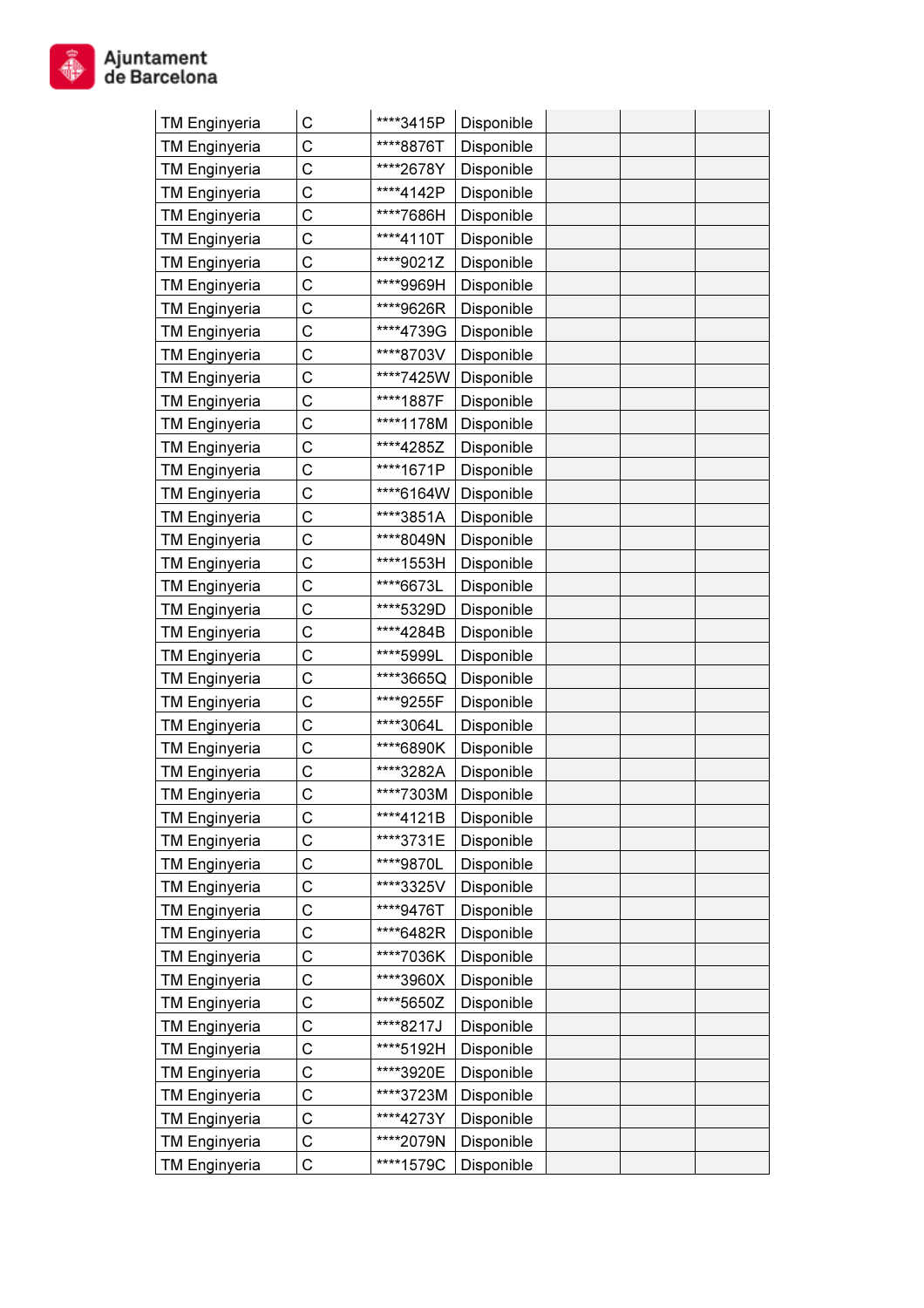| <b>TM Enginyeria</b> | С | ****3415P | Disponible |  |  |
|----------------------|---|-----------|------------|--|--|
| <b>TM Enginyeria</b> | С | ****8876T | Disponible |  |  |
| <b>TM Enginyeria</b> | С | ****2678Y | Disponible |  |  |
| <b>TM Enginyeria</b> | С | ****4142P | Disponible |  |  |
| <b>TM Enginyeria</b> | С | ****7686H | Disponible |  |  |
| <b>TM Enginyeria</b> | С | ****4110T | Disponible |  |  |
| <b>TM Enginyeria</b> | С | ****9021Z | Disponible |  |  |
| <b>TM Enginyeria</b> | С | ****9969H | Disponible |  |  |
| <b>TM Enginyeria</b> | С | ****9626R | Disponible |  |  |
| <b>TM Enginyeria</b> | С | ****4739G | Disponible |  |  |
| <b>TM Enginyeria</b> | С | ****8703V | Disponible |  |  |
| <b>TM Enginyeria</b> | С | ****7425W | Disponible |  |  |
| <b>TM Enginyeria</b> | С | ****1887F | Disponible |  |  |
| <b>TM Enginyeria</b> | С | ****1178M | Disponible |  |  |
| <b>TM Enginyeria</b> | С | ****4285Z | Disponible |  |  |
| <b>TM Enginyeria</b> | С | ****1671P | Disponible |  |  |
| <b>TM Enginyeria</b> | С | ****6164W | Disponible |  |  |
| <b>TM Enginyeria</b> | С | ****3851A | Disponible |  |  |
| <b>TM Enginyeria</b> | C | ****8049N | Disponible |  |  |
| <b>TM Enginyeria</b> | C | ****1553H | Disponible |  |  |
| <b>TM Enginyeria</b> | C | ****6673L | Disponible |  |  |
| <b>TM Enginyeria</b> | C | ****5329D | Disponible |  |  |
| <b>TM Enginyeria</b> | C | ****4284B | Disponible |  |  |
| <b>TM Enginyeria</b> | C | ****5999L | Disponible |  |  |
| <b>TM Enginyeria</b> | С | ****3665Q | Disponible |  |  |
| <b>TM Enginyeria</b> | С | ****9255F | Disponible |  |  |
| <b>TM Enginyeria</b> | С | ****3064L | Disponible |  |  |
| <b>TM Enginyeria</b> | С | ****6890K | Disponible |  |  |
| <b>TM Enginyeria</b> | С | ****3282A | Disponible |  |  |
| <b>TM Enginyeria</b> | С | ****7303M | Disponible |  |  |
| <b>TM Enginyeria</b> | С | ****4121B | Disponible |  |  |
| <b>TM Enginyeria</b> | С | ****3731E | Disponible |  |  |
| <b>TM Enginyeria</b> | С | ****9870L | Disponible |  |  |
| <b>TM Enginyeria</b> | С | ****3325V | Disponible |  |  |
| <b>TM Enginyeria</b> | С | ****9476T | Disponible |  |  |
| <b>TM Enginyeria</b> | С | ****6482R | Disponible |  |  |
| <b>TM Enginyeria</b> | С | ****7036K | Disponible |  |  |
| <b>TM Enginyeria</b> | С | ****3960X | Disponible |  |  |
| <b>TM Enginyeria</b> | С | ****5650Z | Disponible |  |  |
| <b>TM Enginyeria</b> | С | ****8217J | Disponible |  |  |
| <b>TM Enginyeria</b> | С | ****5192H | Disponible |  |  |
| <b>TM Enginyeria</b> | С | ****3920E | Disponible |  |  |
| <b>TM Enginyeria</b> | С | ****3723M | Disponible |  |  |
| <b>TM Enginyeria</b> | С | ****4273Y | Disponible |  |  |
| <b>TM Enginyeria</b> | С | ****2079N | Disponible |  |  |
| <b>TM Enginyeria</b> | С | ****1579C | Disponible |  |  |